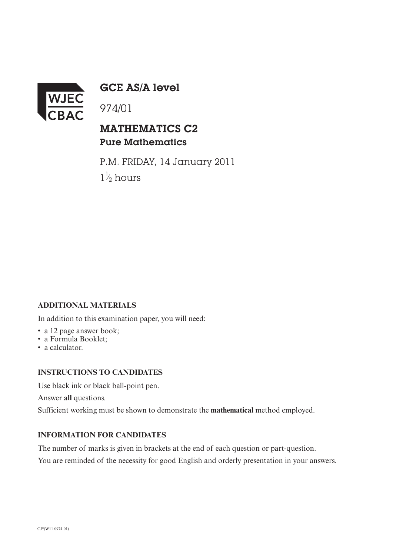

GCE AS/A level

974/01

## MATHEMATICS C2 Pure Mathematics

P.M. FRIDAY, 14 January 2011  $1\frac{1}{2}$  hours ⁄

### **ADDITIONAL MATERIALS**

In addition to this examination paper, you will need:

- a 12 page answer book;
- a Formula Booklet;
- a calculator.

#### **INSTRUCTIONS TO CANDIDATES**

Use black ink or black ball-point pen.

Answer **all** questions.

Sufficient working must be shown to demonstrate the **mathematical** method employed.

#### **INFORMATION FOR CANDIDATES**

The number of marks is given in brackets at the end of each question or part-question.

You are reminded of the necessity for good English and orderly presentation in your answers.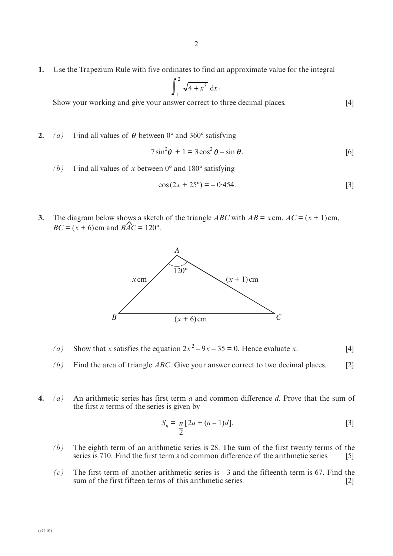**1.** Use the Trapezium Rule with five ordinates to find an approximate value for the integral

$$
\int_1^2 \sqrt{4+x^3} \ dx
$$

Show your working and give your answer correct to three decimal places. [4]

**2.** (a) Find all values of  $\theta$  between 0° and 360° satisfying

$$
7\sin^2\theta + 1 = 3\cos^2\theta - \sin\theta.
$$
 [6]

*(b)* Find all values of *x* between 0° and 180° satisfying

$$
\cos(2x + 25^{\circ}) = -0.454. \tag{3}
$$

**3.** The diagram below shows a sketch of the triangle *ABC* with  $AB = x \text{ cm}$ ,  $AC = (x + 1) \text{ cm}$ ,  $BC = (x + 6)$  cm and  $\widehat{BAC} = 120^{\circ}$ .



- (a) Show that *x* satisfies the equation  $2x^2 9x 35 = 0$ . Hence evaluate *x*. [4]
- *(b)* Find the area of triangle *ABC*. Give your answer correct to two decimal places. [2]
- **4.** *(a)* An arithmetic series has first term *a* and common difference *d*. Prove that the sum of the first *n* terms of the series is given by

$$
S_n = \frac{n}{2} [2a + (n-1)d].
$$
 [3]

- *(b)* The eighth term of an arithmetic series is 28. The sum of the first twenty terms of the series is 710. Find the first term and common difference of the arithmetic series. [5]
- $(c)$  The first term of another arithmetic series is  $-3$  and the fifteenth term is 67. Find the sum of the first fifteen terms of this arithmetic series. [2]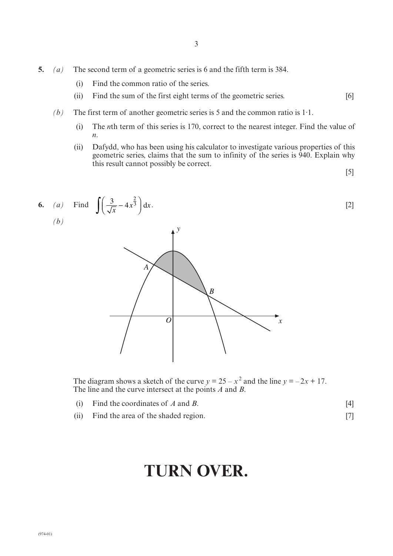- **5.** *(a)* The second term of a geometric series is 6 and the fifth term is 384.
	- (i) Find the common ratio of the series.
	- (ii) Find the sum of the first eight terms of the geometric series. [6]
	- *(b)* The first term of another geometric series is 5 and the common ratio is 1·1.
		- (i) The *n*th term of this series is 170, correct to the nearest integer. Find the value of *n*.
		- (ii) Dafydd, who has been using his calculator to investigate various properties of this geometric series, claims that the sum to infinity of the series is 940. Explain why this result cannot possibly be correct.

[5]



The line and the curve intersect at the points *A* and *B*.

- (i) Find the coordinates of  $A$  and  $B$ . [4]
- (ii) Find the area of the shaded region. [7]

# **TURN OVER.**